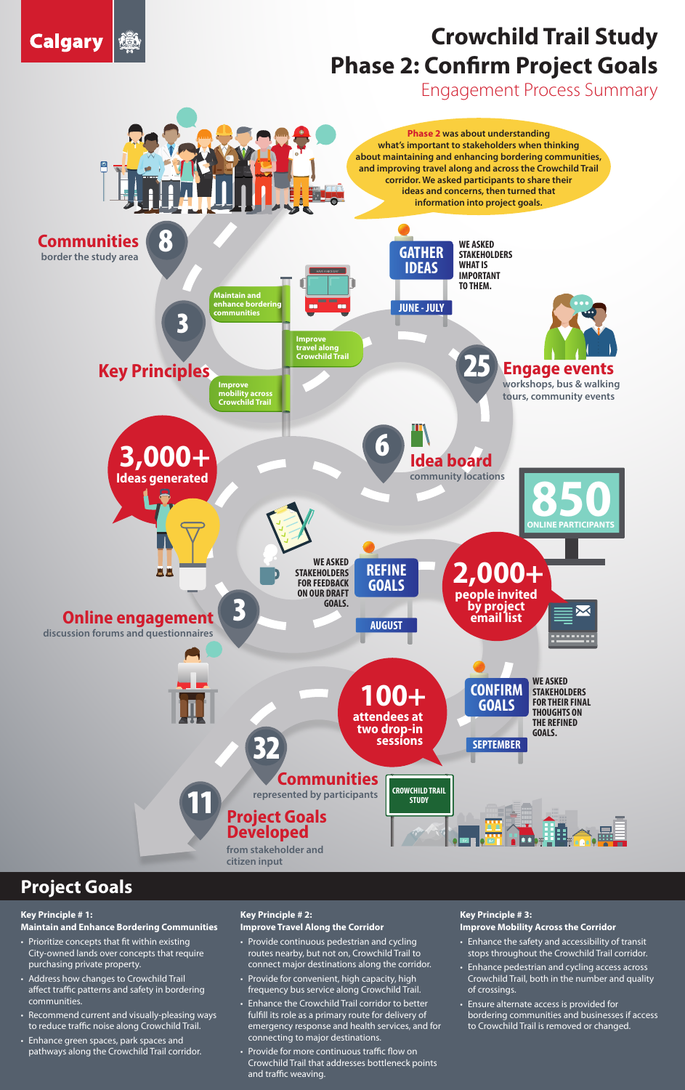#### **Key Principle # 1: Maintain and Enhance Bordering Communities**

- Prioritize concepts that fit within existing City-owned lands over concepts that require purchasing private property.
- Address how changes to Crowchild Trail affect traffic patterns and safety in bordering communities.
- Recommend current and visually-pleasing ways to reduce traffic noise along Crowchild Trail.
- Enhance green spaces, park spaces and pathways along the Crowchild Trail corridor.

#### **Key Principle # 2: Improve Travel Along the Corridor**

- Provide continuous pedestrian and cycling routes nearby, but not on, Crowchild Trail to connect major destinations along the corridor.
- Provide for convenient, high capacity, high frequency bus service along Crowchild Trail.
- Enhance the Crowchild Trail corridor to better fulfill its role as a primary route for delivery of emergency response and health services, and for connecting to major destinations.
- Provide for more continuous traffic flow on Crowchild Trail that addresses bottleneck points and traffic weaving.

#### **Key Principle # 3:**

#### **Improve Mobility Across the Corridor**

- Enhance the safety and accessibility of transit stops throughout the Crowchild Trail corridor.
- Enhance pedestrian and cycling access across Crowchild Trail, both in the number and quality of crossings.
- Ensure alternate access is provided for bordering communities and businesses if access to Crowchild Trail is removed or changed.

### **Project Goals**



**from stakeholder and citizen input**

### **Project Goals Developed**



**CROWCHILD TRAIL STUDY**